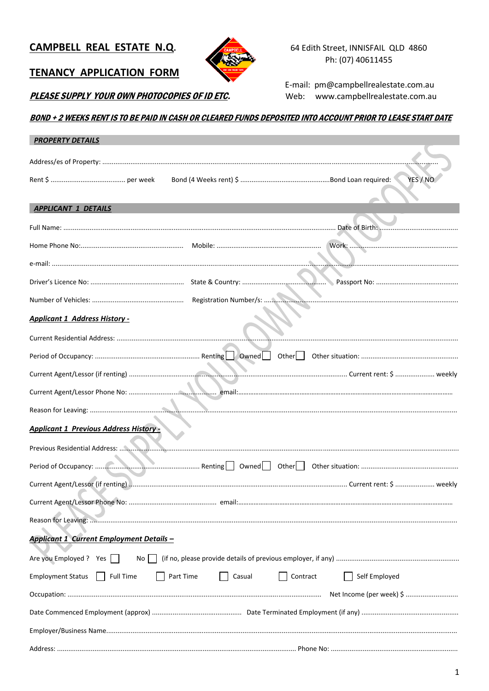# CAMPBELL REAL ESTATE N.Q.



64 Edith Street, INNISFAIL QLD 4860 Ph: (07) 40611455

# **TENANCY APPLICATION FORM**

PLEASE SUPPLY YOUR OWN PHOTOCOPIES OF ID ETC.

E-mail: pm@campbellrealestate.com.au Web: www.campbellrealestate.com.au

# BOND + 2 WEEKS RENT IS TO BE PAID IN CASH OR CLEARED FUNDS DEPOSITED INTO ACCOUNT PRIOR TO LEASE START DATE

| <b>PROPERTY DETAILS</b>                                      |                                 |                          |
|--------------------------------------------------------------|---------------------------------|--------------------------|
|                                                              |                                 |                          |
|                                                              |                                 | YES / NO                 |
| <b>APPLICANT 1 DETAILS</b>                                   |                                 |                          |
|                                                              |                                 |                          |
|                                                              |                                 |                          |
|                                                              |                                 |                          |
|                                                              |                                 |                          |
|                                                              |                                 |                          |
| <b>Applicant 1 Address History -</b>                         |                                 |                          |
|                                                              |                                 |                          |
|                                                              |                                 |                          |
|                                                              |                                 |                          |
|                                                              |                                 |                          |
|                                                              |                                 |                          |
| <b>Applicant 1 Previous Address History-</b>                 |                                 |                          |
|                                                              |                                 |                          |
|                                                              |                                 |                          |
|                                                              |                                 |                          |
|                                                              |                                 |                          |
|                                                              |                                 |                          |
| <b>Applicant 1 Current Employment Details -</b>              |                                 |                          |
| Are you Employed ? Yes                                       |                                 |                          |
| <b>Full Time</b><br><b>Employment Status</b><br>$\mathbf{I}$ | Part Time<br>Contract<br>Casual | Self Employed            |
|                                                              |                                 | Net Income (per week) \$ |
|                                                              |                                 |                          |
|                                                              |                                 |                          |
|                                                              |                                 |                          |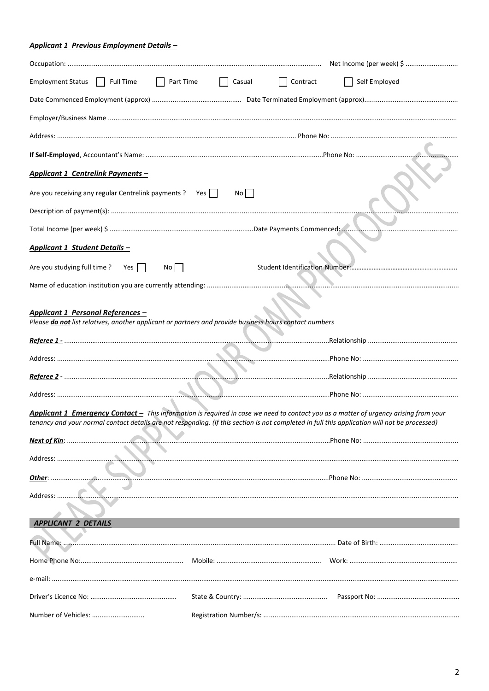# **Applicant 1 Previous Employment Details -**

| Employment Status   Full Time<br>Part Time<br>$\Box$ Casual                                                                                                                                                                                                                           | Contract<br>Self Employed |
|---------------------------------------------------------------------------------------------------------------------------------------------------------------------------------------------------------------------------------------------------------------------------------------|---------------------------|
|                                                                                                                                                                                                                                                                                       |                           |
|                                                                                                                                                                                                                                                                                       |                           |
|                                                                                                                                                                                                                                                                                       |                           |
|                                                                                                                                                                                                                                                                                       |                           |
| <b>Applicant 1 Centrelink Payments -</b>                                                                                                                                                                                                                                              |                           |
| Are you receiving any regular Centrelink payments ? Yes<br>No                                                                                                                                                                                                                         |                           |
|                                                                                                                                                                                                                                                                                       |                           |
|                                                                                                                                                                                                                                                                                       |                           |
| Applicant 1 Student Details -                                                                                                                                                                                                                                                         |                           |
| Are you studying full time ? Yes $\Box$<br>No                                                                                                                                                                                                                                         |                           |
|                                                                                                                                                                                                                                                                                       |                           |
| <b>Applicant 1 Personal References -</b><br>Please do not list relatives, another applicant or partners and provide business hours contact numbers                                                                                                                                    |                           |
|                                                                                                                                                                                                                                                                                       |                           |
|                                                                                                                                                                                                                                                                                       |                           |
|                                                                                                                                                                                                                                                                                       |                           |
|                                                                                                                                                                                                                                                                                       |                           |
| Applicant 1 Emergency Contact - This information is required in case we need to contact you as a matter of urgency arising from your<br>tenancy and your normal contact details are not responding. (If this section is not completed in full this application will not be processed) |                           |
|                                                                                                                                                                                                                                                                                       |                           |
| Address:                                                                                                                                                                                                                                                                              |                           |
|                                                                                                                                                                                                                                                                                       |                           |
| Address: .                                                                                                                                                                                                                                                                            |                           |
| <b>APPLICANT 2 DETAILS</b>                                                                                                                                                                                                                                                            |                           |
|                                                                                                                                                                                                                                                                                       |                           |
|                                                                                                                                                                                                                                                                                       |                           |
|                                                                                                                                                                                                                                                                                       |                           |
|                                                                                                                                                                                                                                                                                       |                           |
| Number of Vehicles:                                                                                                                                                                                                                                                                   |                           |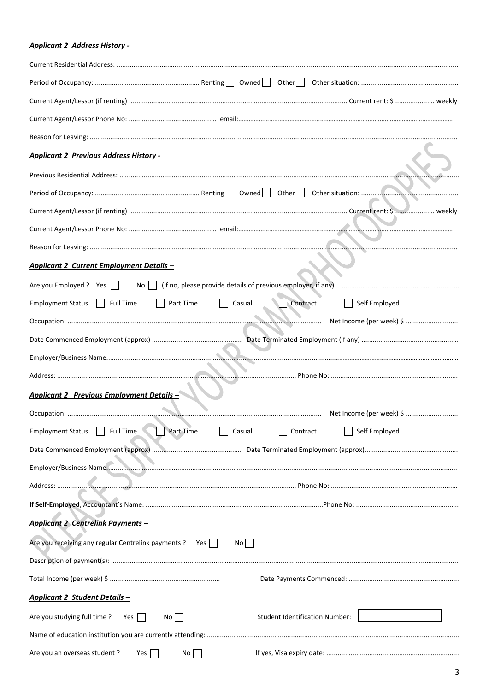# **Applicant 2 Address History -**

| <b>Applicant 2 Previous Address History -</b>                                                    |
|--------------------------------------------------------------------------------------------------|
|                                                                                                  |
|                                                                                                  |
|                                                                                                  |
|                                                                                                  |
|                                                                                                  |
| Applicant 2 Current Employment Details -                                                         |
| Are you Employed ? Yes                                                                           |
| <b>Employment Status</b><br>$\Box$ Full Time<br>Part Time<br>Contract<br>Self Employed<br>Casual |
|                                                                                                  |
|                                                                                                  |
|                                                                                                  |
|                                                                                                  |
| <b>Applicant 2 Previous Employment Details -</b>                                                 |
| Net Income (per week) \$                                                                         |
| Self Employed<br>Part Time<br><b>Employment Status</b><br>Full Time<br>Casual<br>Contract        |
|                                                                                                  |
|                                                                                                  |
|                                                                                                  |
|                                                                                                  |
| <b>Applicant 2 Centrelink Payments -</b>                                                         |
| Are you receiving any regular Centrelink payments ? Yes<br>No                                    |
|                                                                                                  |
|                                                                                                  |
| Applicant 2 Student Details -                                                                    |
| <b>Student Identification Number:</b><br>Are you studying full time?<br>Yes  <br>No              |
|                                                                                                  |
| Are you an overseas student ?<br>No<br>Yes                                                       |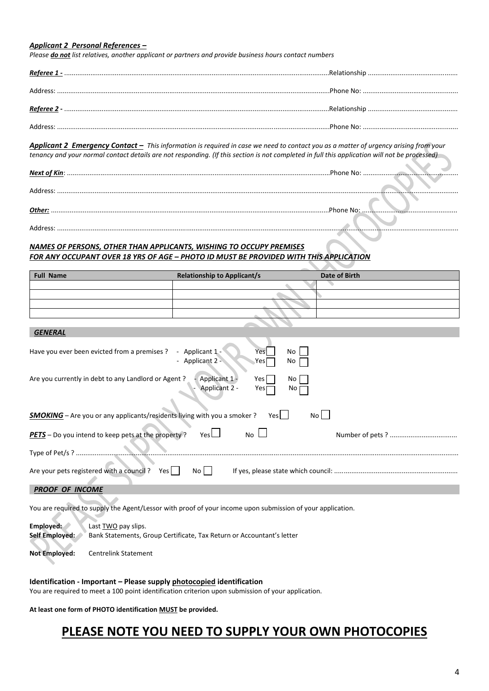## *Applicant 2 Personal References –*

*Please do not list relatives, another applicant or partners and provide business hours contact numbers*

*Applicant 2 Emergency Contact – This information is required in case we need to contact you as a matter of urgency arising from your tenancy and your normal contact details are not responding. (If this section is not completed in full this application will not be processed)*

| Address: |           |  |
|----------|-----------|--|
| Other:   | Phone No: |  |
| Address: |           |  |
|          |           |  |

# *NAMES OF PERSONS, OTHER THAN APPLICANTS, WISHING TO OCCUPY PREMISES FOR ANY OCCUPANT OVER 18 YRS OF AGE – PHOTO ID MUST BE PROVIDED WITH THIS APPLICATION*

| <b>Full Name</b> | <b>Relationship to Applicant/s</b> | Date of Birth |
|------------------|------------------------------------|---------------|
|                  |                                    |               |
|                  |                                    |               |
|                  |                                    |               |
|                  |                                    |               |

| - Applicant 1 -<br>Have you ever been evicted from a premises ?<br>No<br>Yes<br>- Applicant 2 -<br>No<br>Yes                       |
|------------------------------------------------------------------------------------------------------------------------------------|
| Are you currently in debt to any Landlord or Agent?<br>- Applicant 1 -<br>Yes l<br>No<br>Applicant 2 -<br>Yes<br>No.               |
| SMOKING - Are you or any applicants/residents living with you a smoker?<br>No l<br>Yesl                                            |
| No L<br><b>PETS</b> - Do you intend to keep pets at the property?<br>Yes $\Box$<br>Number of pets ?                                |
| Type of Pet/s ?                                                                                                                    |
| Are your pets registered with a council?<br>Yes<br>No II                                                                           |
| <b>PROOF OF INCOME</b>                                                                                                             |
| You are required to supply the Agent/Lessor with proof of your income upon submission of your application.                         |
| Employed:<br>Last <b>TWO</b> pay slips.<br>Self Employed:<br>Bank Statements, Group Certificate, Tax Return or Accountant's letter |

**Not Employed:** Centrelink Statement

## **Identification - Important – Please supply photocopied identification**

You are required to meet a 100 point identification criterion upon submission of your application.

**At least one form of PHOTO identification MUST be provided.**

# **PLEASE NOTE YOU NEED TO SUPPLY YOUR OWN PHOTOCOPIES**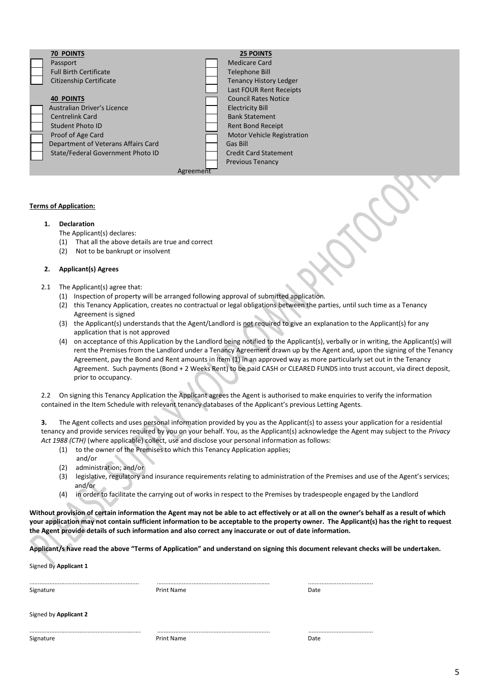| <b>70 POINTS</b>                    |           | <b>25 POINTS</b>                  |  |
|-------------------------------------|-----------|-----------------------------------|--|
| Passport                            |           | Medicare Card                     |  |
| <b>Full Birth Certificate</b>       |           | Telephone Bill                    |  |
| <b>Citizenship Certificate</b>      |           | <b>Tenancy History Ledger</b>     |  |
|                                     |           | Last FOUR Rent Receipts           |  |
| <b>40 POINTS</b>                    |           | <b>Council Rates Notice</b>       |  |
| Australian Driver's Licence         |           | <b>Electricity Bill</b>           |  |
| <b>Centrelink Card</b>              |           | <b>Bank Statement</b>             |  |
| Student Photo ID                    |           | <b>Rent Bond Receipt</b>          |  |
| Proof of Age Card                   |           | <b>Motor Vehicle Registration</b> |  |
| Department of Veterans Affairs Card |           | Gas Bill                          |  |
| State/Federal Government Photo ID   |           | <b>Credit Card Statement</b>      |  |
|                                     |           | <b>Previous Tenancy</b>           |  |
|                                     | Agreement |                                   |  |
|                                     |           |                                   |  |

## **Terms of Application:**

## **1. Declaration**

The Applicant(s) declares:

- (1) That all the above details are true and correct
- (2) Not to be bankrupt or insolvent

## **2. Applicant(s) Agrees**

2.1 The Applicant(s) agree that:

- (1) Inspection of property will be arranged following approval of submitted application.
- (2) this Tenancy Application, creates no contractual or legal obligations between the parties, until such time as a Tenancy Agreement is signed
- (3) the Applicant(s) understands that the Agent/Landlord is not required to give an explanation to the Applicant(s) for any application that is not approved
- (4) on acceptance of this Application by the Landlord being notified to the Applicant(s), verbally or in writing, the Applicant(s) will rent the Premises from the Landlord under a Tenancy Agreement drawn up by the Agent and, upon the signing of the Tenancy Agreement, pay the Bond and Rent amounts in Item (1) in an approved way as more particularly set out in the Tenancy Agreement. Such payments (Bond + 2 Weeks Rent) to be paid CASH or CLEARED FUNDS into trust account, via direct deposit, prior to occupancy.

2.2 On signing this Tenancy Application the Applicant agrees the Agent is authorised to make enquiries to verify the information contained in the Item Schedule with relevant tenancy databases of the Applicant's previous Letting Agents.

**3.** The Agent collects and uses personal information provided by you as the Applicant(s) to assess your application for a residential tenancy and provide services required by you on your behalf. You, as the Applicant(s) acknowledge the Agent may subject to the *Privacy Act 1988 (CTH)* (where applicable) collect, use and disclose your personal information as follows:

- (1) to the owner of the Premises to which this Tenancy Application applies;
- and/or (2) administration; and/or
- (3) legislative, regulatory and insurance requirements relating to administration of the Premises and use of the Agent's services; and/or
- (4) in order to facilitate the carrying out of works in respect to the Premises by tradespeople engaged by the Landlord

**Without provision of certain information the Agent may not be able to act effectively or at all on the owner's behalf as a result of which your application may not contain sufficient information to be acceptable to the property owner. The Applicant(s) has the right to request the Agent provide details of such information and also correct any inaccurate or out of date information.**

**Applicant/s have read the above "Terms of Application" and understand on signing this document relevant checks will be undertaken.**

Signed By **Applicant 1**

| Signature | Print Name | Date |
|-----------|------------|------|
|           |            |      |
|           |            |      |

.................................................................. .................................................................... .......................................

Signed by **Applicant 2**

................................................................... .................................................................... ....................................... Signature **Date Communist Print Name** Print Name **Date 2016**